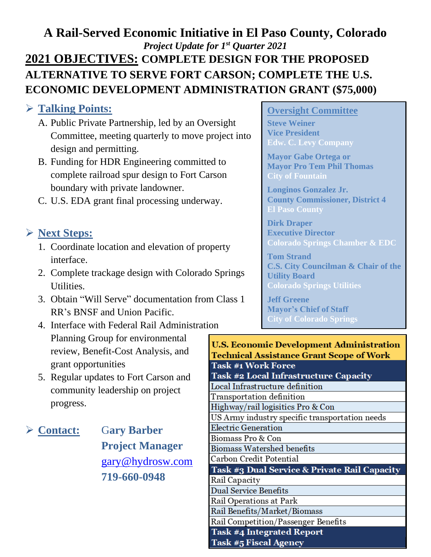# **A Rail-Served Economic Initiative in El Paso County, Colorado** *Project Update for 1 st Quarter 2021* **2021 OBJECTIVES: COMPLETE DESIGN FOR THE PROPOSED ALTERNATIVE TO SERVE FORT CARSON; COMPLETE THE U.S. ECONOMIC DEVELOPMENT ADMINISTRATION GRANT (\$75,000)**

## ➢ **Talking Points:**

- A. Public Private Partnership, led by an Oversight Committee, meeting quarterly to move project into design and permitting.
- B. Funding for HDR Engineering committed to complete railroad spur design to Fort Carson boundary with private landowner.
- C. U.S. EDA grant final processing underway.

# ➢ **Next Steps:**

- 1. Coordinate location and elevation of property interface.
- 2. Complete trackage design with Colorado Springs Utilities.
- 3. Obtain "Will Serve" documentation from Class 1 RR's BNSF and Union Pacific.
- 4. Interface with Federal Rail Administration Planning Group for environmental review, Benefit-Cost Analysis, and grant opportunities
- 5. Regular updates to Fort Carson and community leadership on project progress.

➢ **Contact:** G**ary Barber Project Manager** [gary@hydrosw.com](mailto:gary@hydrosw.com) **719-660-0948**

### **Oversight Committee**

**Steve Weiner Vice President Edw. C. Levy Company**

**Mayor Gabe Ortega or Mayor Pro Tem Phil Thomas City of Fountain**

**Longinos Gonzalez Jr. County Commissioner, District 4 El Paso County**

**Dirk Draper Executive Director Colorado Springs Chamber & EDC**

**Tom Strand C.S. City Councilman & Chair of the Utility Board Colorado Springs Utilities**

**Jeff Greene Mayor's Chief of Staff City of Colorado Springs**

| U.S. Economic Development Administration                |
|---------------------------------------------------------|
| <b>Technical Assistance Grant Scope of Work</b>         |
| <b>Task #1 Work Force</b>                               |
| Task #2 Local Infrastructure Capacity                   |
| Local Infrastructure definition                         |
| Transportation definition                               |
| Highway/rail logisitics Pro & Con                       |
| US Army industry specific transportation needs          |
| Electric Generation                                     |
| Biomass Pro & Con                                       |
| Biomass Watershed benefits                              |
| Carbon Credit Potential                                 |
| <b>Task #3 Dual Service &amp; Private Rail Capacity</b> |
| Rail Capacity                                           |
| Dual Service Benefits                                   |
| Rail Operations at Park                                 |
| Rail Benefits/Market/Biomass                            |
| Rail Competition/Passenger Benefits                     |
| <b>Task #4 Integrated Report</b>                        |
| <b>Task #5 Fiscal Agency</b>                            |